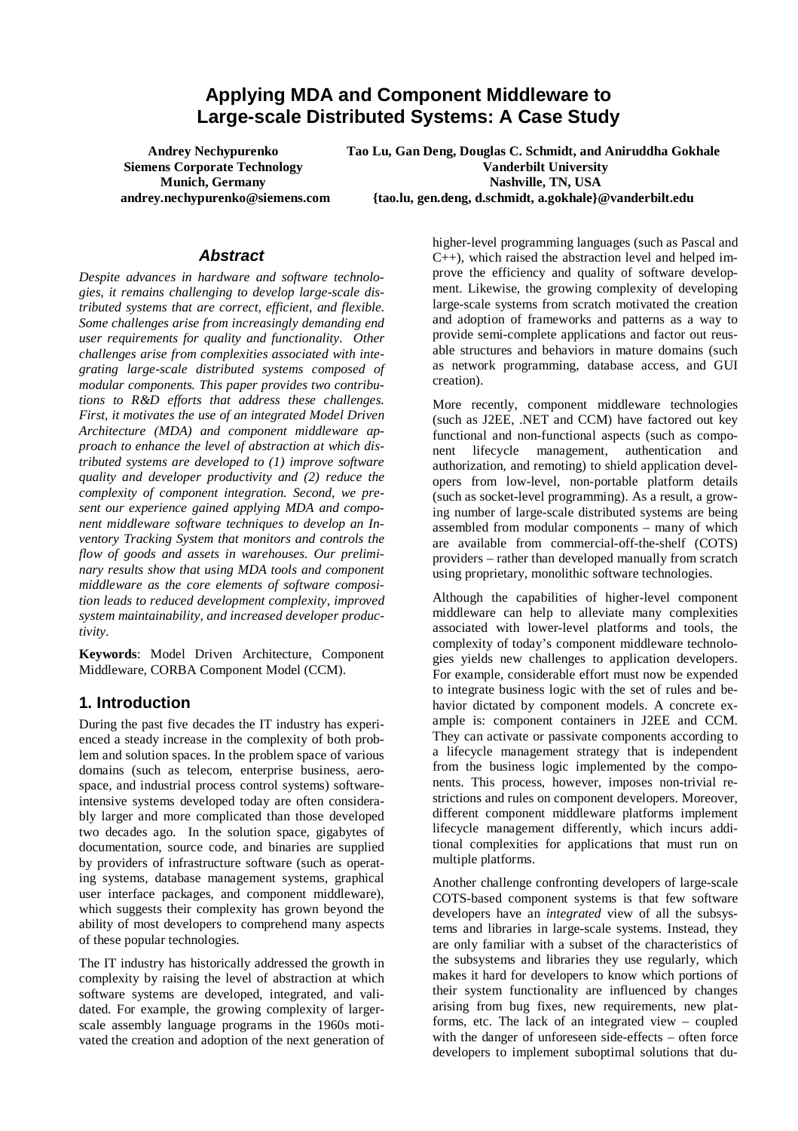# **Applying MDA and Component Middleware to Large-scale Distributed Systems: A Case Study**

**Andrey Nechypurenko Siemens Corporate Technology Munich, Germany andrey.nechypurenko@siemens.com**  **Tao Lu, Gan Deng, Douglas C. Schmidt, and Aniruddha Gokhale Vanderbilt University Nashville, TN, USA {tao.lu, gen.deng, d.schmidt, a.gokhale}@vanderbilt.edu** 

#### **Abstract**

*Despite advances in hardware and software technologies, it remains challenging to develop large-scale distributed systems that are correct, efficient, and flexible. Some challenges arise from increasingly demanding end user requirements for quality and functionality. Other challenges arise from complexities associated with integrating large-scale distributed systems composed of modular components. This paper provides two contributions to R&D efforts that address these challenges. First, it motivates the use of an integrated Model Driven Architecture (MDA) and component middleware approach to enhance the level of abstraction at which distributed systems are developed to (1) improve software quality and developer productivity and (2) reduce the complexity of component integration. Second, we present our experience gained applying MDA and component middleware software techniques to develop an Inventory Tracking System that monitors and controls the flow of goods and assets in warehouses. Our preliminary results show that using MDA tools and component middleware as the core elements of software composition leads to reduced development complexity, improved system maintainability, and increased developer productivity.* 

**Keywords**: Model Driven Architecture, Component Middleware, CORBA Component Model (CCM).

#### **1. Introduction**

During the past five decades the IT industry has experienced a steady increase in the complexity of both problem and solution spaces. In the problem space of various domains (such as telecom, enterprise business, aerospace, and industrial process control systems) softwareintensive systems developed today are often considerably larger and more complicated than those developed two decades ago. In the solution space, gigabytes of documentation, source code, and binaries are supplied by providers of infrastructure software (such as operating systems, database management systems, graphical user interface packages, and component middleware), which suggests their complexity has grown beyond the ability of most developers to comprehend many aspects of these popular technologies.

The IT industry has historically addressed the growth in complexity by raising the level of abstraction at which software systems are developed, integrated, and validated. For example, the growing complexity of largerscale assembly language programs in the 1960s motivated the creation and adoption of the next generation of

higher-level programming languages (such as Pascal and C++), which raised the abstraction level and helped improve the efficiency and quality of software development. Likewise, the growing complexity of developing large-scale systems from scratch motivated the creation and adoption of frameworks and patterns as a way to provide semi-complete applications and factor out reusable structures and behaviors in mature domains (such as network programming, database access, and GUI creation).

More recently, component middleware technologies (such as J2EE, .NET and CCM) have factored out key functional and non-functional aspects (such as component lifecycle management, authentication and authorization, and remoting) to shield application developers from low-level, non-portable platform details (such as socket-level programming). As a result, a growing number of large-scale distributed systems are being assembled from modular components – many of which are available from commercial-off-the-shelf (COTS) providers – rather than developed manually from scratch using proprietary, monolithic software technologies.

Although the capabilities of higher-level component middleware can help to alleviate many complexities associated with lower-level platforms and tools, the complexity of today's component middleware technologies yields new challenges to application developers. For example, considerable effort must now be expended to integrate business logic with the set of rules and behavior dictated by component models. A concrete example is: component containers in J2EE and CCM. They can activate or passivate components according to a lifecycle management strategy that is independent from the business logic implemented by the components. This process, however, imposes non-trivial restrictions and rules on component developers. Moreover, different component middleware platforms implement lifecycle management differently, which incurs additional complexities for applications that must run on multiple platforms.

Another challenge confronting developers of large-scale COTS-based component systems is that few software developers have an *integrated* view of all the subsystems and libraries in large-scale systems. Instead, they are only familiar with a subset of the characteristics of the subsystems and libraries they use regularly, which makes it hard for developers to know which portions of their system functionality are influenced by changes arising from bug fixes, new requirements, new platforms, etc. The lack of an integrated view – coupled with the danger of unforeseen side-effects – often force developers to implement suboptimal solutions that du-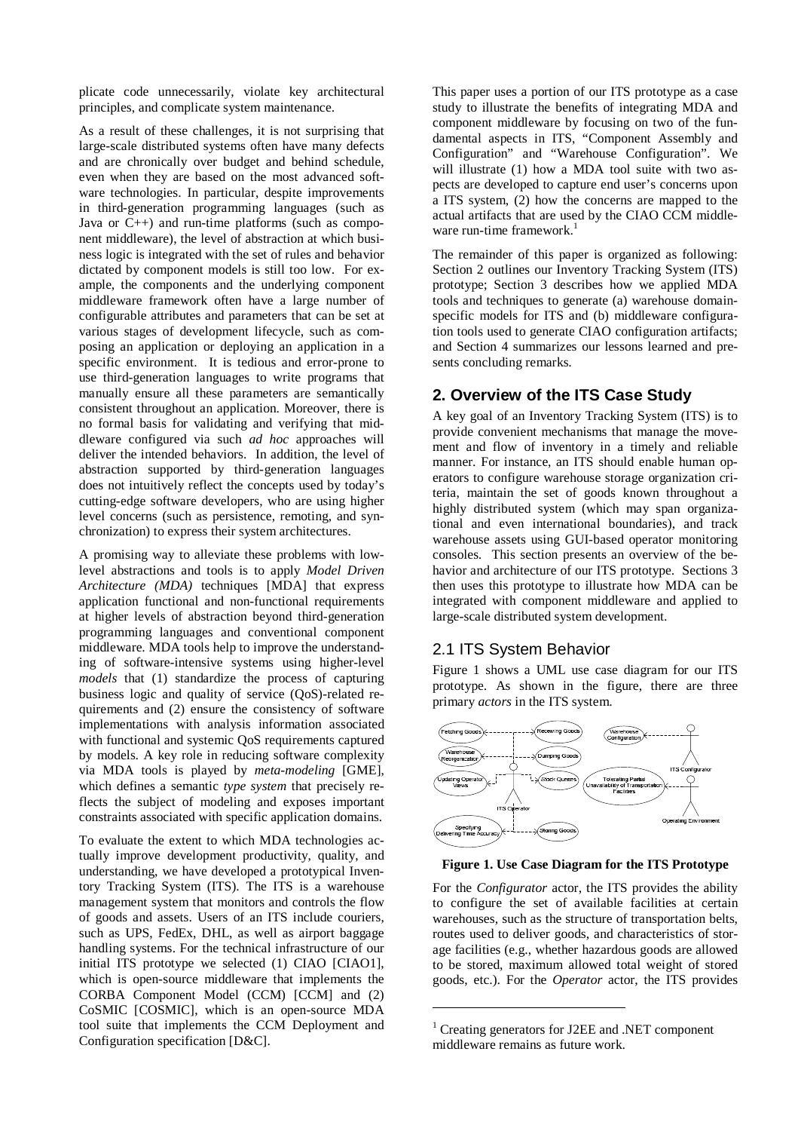plicate code unnecessarily, violate key architectural principles, and complicate system maintenance.

As a result of these challenges, it is not surprising that large-scale distributed systems often have many defects and are chronically over budget and behind schedule, even when they are based on the most advanced software technologies. In particular, despite improvements in third-generation programming languages (such as Java or  $C_{++}$ ) and run-time platforms (such as component middleware), the level of abstraction at which business logic is integrated with the set of rules and behavior dictated by component models is still too low. For example, the components and the underlying component middleware framework often have a large number of configurable attributes and parameters that can be set at various stages of development lifecycle, such as composing an application or deploying an application in a specific environment. It is tedious and error-prone to use third-generation languages to write programs that manually ensure all these parameters are semantically consistent throughout an application. Moreover, there is no formal basis for validating and verifying that middleware configured via such *ad hoc* approaches will deliver the intended behaviors. In addition, the level of abstraction supported by third-generation languages does not intuitively reflect the concepts used by today's cutting-edge software developers, who are using higher level concerns (such as persistence, remoting, and synchronization) to express their system architectures.

A promising way to alleviate these problems with lowlevel abstractions and tools is to apply *Model Driven Architecture (MDA)* techniques [MDA] that express application functional and non-functional requirements at higher levels of abstraction beyond third-generation programming languages and conventional component middleware. MDA tools help to improve the understanding of software-intensive systems using higher-level *models* that (1) standardize the process of capturing business logic and quality of service (QoS)-related requirements and (2) ensure the consistency of software implementations with analysis information associated with functional and systemic QoS requirements captured by models. A key role in reducing software complexity via MDA tools is played by *meta-modeling* [GME], which defines a semantic *type system* that precisely reflects the subject of modeling and exposes important constraints associated with specific application domains.

To evaluate the extent to which MDA technologies actually improve development productivity, quality, and understanding, we have developed a prototypical Inventory Tracking System (ITS). The ITS is a warehouse management system that monitors and controls the flow of goods and assets. Users of an ITS include couriers, such as UPS, FedEx, DHL, as well as airport baggage handling systems. For the technical infrastructure of our initial ITS prototype we selected (1) CIAO [CIAO1], which is open-source middleware that implements the CORBA Component Model (CCM) [CCM] and (2) CoSMIC [COSMIC], which is an open-source MDA tool suite that implements the CCM Deployment and Configuration specification [D&C].

This paper uses a portion of our ITS prototype as a case study to illustrate the benefits of integrating MDA and component middleware by focusing on two of the fundamental aspects in ITS, "Component Assembly and Configuration" and "Warehouse Configuration". We will illustrate (1) how a MDA tool suite with two aspects are developed to capture end user's concerns upon a ITS system, (2) how the concerns are mapped to the actual artifacts that are used by the CIAO CCM middleware run-time framework. $1$ 

The remainder of this paper is organized as following: Section 2 outlines our Inventory Tracking System (ITS) prototype; Section 3 describes how we applied MDA tools and techniques to generate (a) warehouse domainspecific models for ITS and (b) middleware configuration tools used to generate CIAO configuration artifacts; and Section 4 summarizes our lessons learned and presents concluding remarks.

#### **2. Overview of the ITS Case Study**

A key goal of an Inventory Tracking System (ITS) is to provide convenient mechanisms that manage the movement and flow of inventory in a timely and reliable manner. For instance, an ITS should enable human operators to configure warehouse storage organization criteria, maintain the set of goods known throughout a highly distributed system (which may span organizational and even international boundaries), and track warehouse assets using GUI-based operator monitoring consoles. This section presents an overview of the behavior and architecture of our ITS prototype. Sections 3 then uses this prototype to illustrate how MDA can be integrated with component middleware and applied to large-scale distributed system development.

#### 2.1 ITS System Behavior

Figure 1 shows a UML use case diagram for our ITS prototype. As shown in the figure, there are three primary *actors* in the ITS system.



#### **Figure 1. Use Case Diagram for the ITS Prototype**

For the *Configurator* actor, the ITS provides the ability to configure the set of available facilities at certain warehouses, such as the structure of transportation belts, routes used to deliver goods, and characteristics of storage facilities (e.g., whether hazardous goods are allowed to be stored, maximum allowed total weight of stored goods, etc.). For the *Operator* actor, the ITS provides

 $\overline{a}$ 

<sup>1</sup> Creating generators for J2EE and .NET component middleware remains as future work.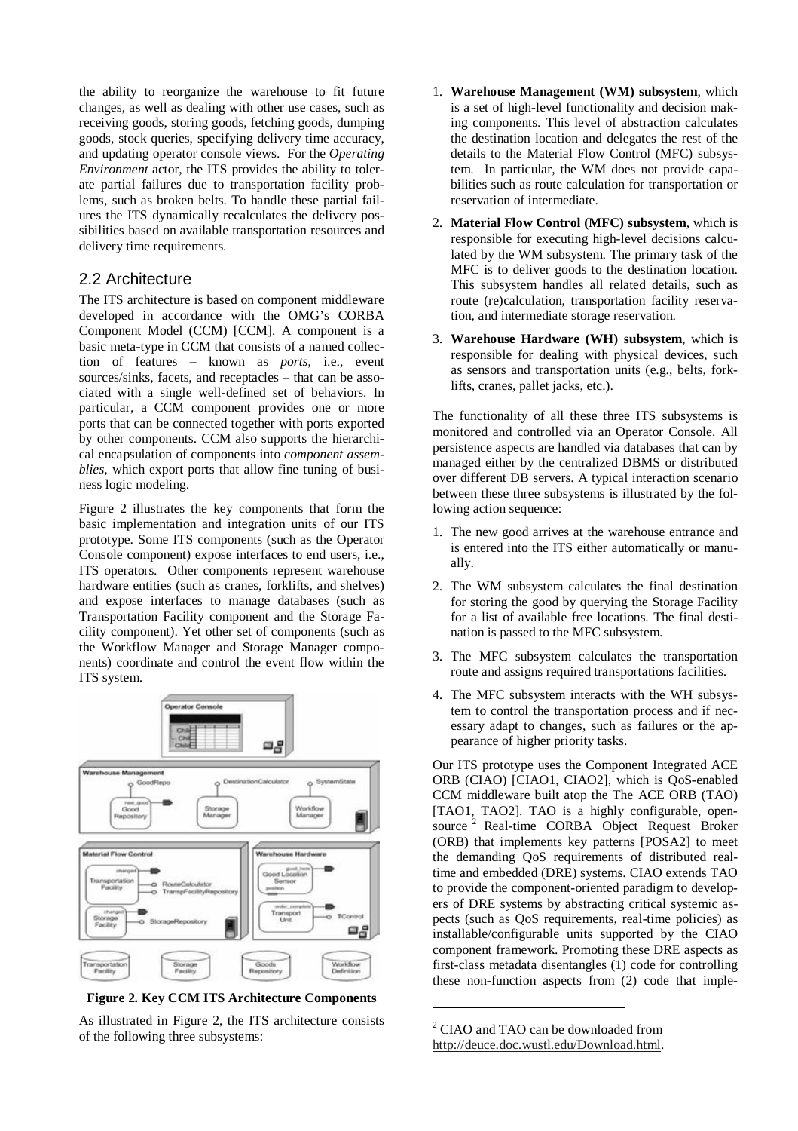the ability to reorganize the warehouse to fit future changes, as well as dealing with other use cases, such as receiving goods, storing goods, fetching goods, dumping goods, stock queries, specifying delivery time accuracy, and updating operator console views. For the *Operating Environment* actor, the ITS provides the ability to tolerate partial failures due to transportation facility problems, such as broken belts. To handle these partial failures the ITS dynamically recalculates the delivery possibilities based on available transportation resources and delivery time requirements.

### 2.2 Architecture

The ITS architecture is based on component middleware developed in accordance with the OMG's CORBA Component Model (CCM) [CCM]. A component is a basic meta-type in CCM that consists of a named collection of features – known as *ports*, i.e., event sources/sinks, facets, and receptacles – that can be associated with a single well-defined set of behaviors. In particular, a CCM component provides one or more ports that can be connected together with ports exported by other components. CCM also supports the hierarchical encapsulation of components into *component assemblies*, which export ports that allow fine tuning of business logic modeling.

Figure 2 illustrates the key components that form the basic implementation and integration units of our ITS prototype. Some ITS components (such as the Operator Console component) expose interfaces to end users, i.e., ITS operators. Other components represent warehouse hardware entities (such as cranes, forklifts, and shelves) and expose interfaces to manage databases (such as Transportation Facility component and the Storage Facility component). Yet other set of components (such as the Workflow Manager and Storage Manager components) coordinate and control the event flow within the ITS system.



**Figure 2. Key CCM ITS Architecture Components** 

As illustrated in Figure 2, the ITS architecture consists of the following three subsystems:

- 1. **Warehouse Management (WM) subsystem**, which is a set of high-level functionality and decision making components. This level of abstraction calculates the destination location and delegates the rest of the details to the Material Flow Control (MFC) subsystem. In particular, the WM does not provide capabilities such as route calculation for transportation or reservation of intermediate.
- 2. **Material Flow Control (MFC) subsystem**, which is responsible for executing high-level decisions calculated by the WM subsystem. The primary task of the MFC is to deliver goods to the destination location. This subsystem handles all related details, such as route (re)calculation, transportation facility reservation, and intermediate storage reservation.
- 3. **Warehouse Hardware (WH) subsystem**, which is responsible for dealing with physical devices, such as sensors and transportation units (e.g., belts, forklifts, cranes, pallet jacks, etc.).

The functionality of all these three ITS subsystems is monitored and controlled via an Operator Console. All persistence aspects are handled via databases that can by managed either by the centralized DBMS or distributed over different DB servers. A typical interaction scenario between these three subsystems is illustrated by the following action sequence:

- 1. The new good arrives at the warehouse entrance and is entered into the ITS either automatically or manually.
- 2. The WM subsystem calculates the final destination for storing the good by querying the Storage Facility for a list of available free locations. The final destination is passed to the MFC subsystem.
- 3. The MFC subsystem calculates the transportation route and assigns required transportations facilities.
- 4. The MFC subsystem interacts with the WH subsystem to control the transportation process and if necessary adapt to changes, such as failures or the appearance of higher priority tasks.

Our ITS prototype uses the Component Integrated ACE ORB (CIAO) [CIAO1, CIAO2], which is QoS-enabled CCM middleware built atop the The ACE ORB (TAO) [TAO1, TAO2]. TAO is a highly configurable, opensource<sup>2</sup> Real-time CORBA Object Request Broker (ORB) that implements key patterns [POSA2] to meet the demanding QoS requirements of distributed realtime and embedded (DRE) systems. CIAO extends TAO to provide the component-oriented paradigm to developers of DRE systems by abstracting critical systemic aspects (such as QoS requirements, real-time policies) as installable/configurable units supported by the CIAO component framework. Promoting these DRE aspects as first-class metadata disentangles (1) code for controlling these non-function aspects from (2) code that imple-

 $\overline{a}$ 

<sup>2</sup> CIAO and TAO can be downloaded from http://deuce.doc.wustl.edu/Download.html.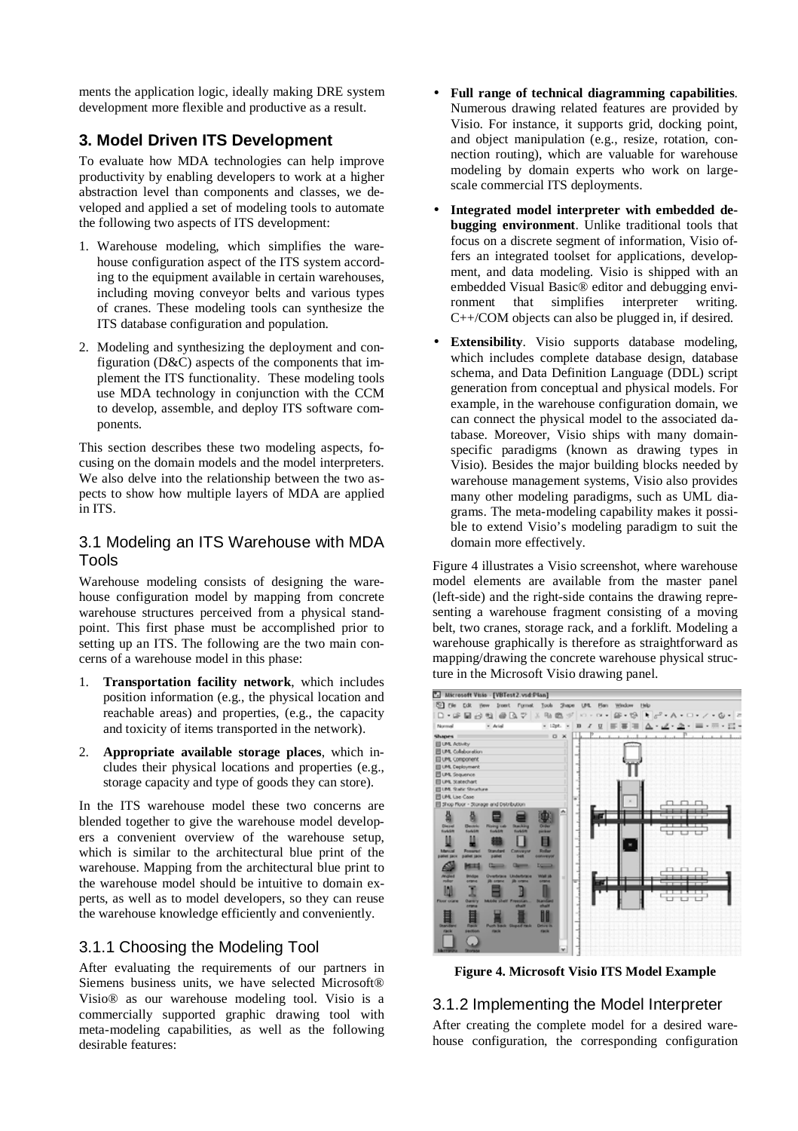ments the application logic, ideally making DRE system development more flexible and productive as a result.

# **3. Model Driven ITS Development**

To evaluate how MDA technologies can help improve productivity by enabling developers to work at a higher abstraction level than components and classes, we developed and applied a set of modeling tools to automate the following two aspects of ITS development:

- 1. Warehouse modeling, which simplifies the warehouse configuration aspect of the ITS system according to the equipment available in certain warehouses, including moving conveyor belts and various types of cranes. These modeling tools can synthesize the ITS database configuration and population.
- 2. Modeling and synthesizing the deployment and configuration (D&C) aspects of the components that implement the ITS functionality. These modeling tools use MDA technology in conjunction with the CCM to develop, assemble, and deploy ITS software components.

This section describes these two modeling aspects, focusing on the domain models and the model interpreters. We also delve into the relationship between the two aspects to show how multiple layers of MDA are applied in ITS.

#### 3.1 Modeling an ITS Warehouse with MDA Tools

Warehouse modeling consists of designing the warehouse configuration model by mapping from concrete warehouse structures perceived from a physical standpoint. This first phase must be accomplished prior to setting up an ITS. The following are the two main concerns of a warehouse model in this phase:

- 1. **Transportation facility network**, which includes position information (e.g., the physical location and reachable areas) and properties, (e.g., the capacity and toxicity of items transported in the network).
- 2. **Appropriate available storage places**, which includes their physical locations and properties (e.g., storage capacity and type of goods they can store).

In the ITS warehouse model these two concerns are blended together to give the warehouse model developers a convenient overview of the warehouse setup, which is similar to the architectural blue print of the warehouse. Mapping from the architectural blue print to the warehouse model should be intuitive to domain experts, as well as to model developers, so they can reuse the warehouse knowledge efficiently and conveniently.

### 3.1.1 Choosing the Modeling Tool

After evaluating the requirements of our partners in Siemens business units, we have selected Microsoft® Visio® as our warehouse modeling tool. Visio is a commercially supported graphic drawing tool with meta-modeling capabilities, as well as the following desirable features:

- **Full range of technical diagramming capabilities**. Numerous drawing related features are provided by Visio. For instance, it supports grid, docking point, and object manipulation (e.g., resize, rotation, connection routing), which are valuable for warehouse modeling by domain experts who work on largescale commercial ITS deployments.
- **Integrated model interpreter with embedded debugging environment**. Unlike traditional tools that focus on a discrete segment of information, Visio offers an integrated toolset for applications, development, and data modeling. Visio is shipped with an embedded Visual Basic® editor and debugging environment that simplifies interpreter writing C++/COM objects can also be plugged in, if desired.
- **Extensibility**. Visio supports database modeling, which includes complete database design, database schema, and Data Definition Language (DDL) script generation from conceptual and physical models. For example, in the warehouse configuration domain, we can connect the physical model to the associated database. Moreover, Visio ships with many domainspecific paradigms (known as drawing types in Visio). Besides the major building blocks needed by warehouse management systems, Visio also provides many other modeling paradigms, such as UML diagrams. The meta-modeling capability makes it possible to extend Visio's modeling paradigm to suit the domain more effectively.

Figure 4 illustrates a Visio screenshot, where warehouse model elements are available from the master panel (left-side) and the right-side contains the drawing representing a warehouse fragment consisting of a moving belt, two cranes, storage rack, and a forklift. Modeling a warehouse graphically is therefore as straightforward as mapping/drawing the concrete warehouse physical structure in the Microsoft Visio drawing panel.



**Figure 4. Microsoft Visio ITS Model Example** 

# 3.1.2 Implementing the Model Interpreter

After creating the complete model for a desired warehouse configuration, the corresponding configuration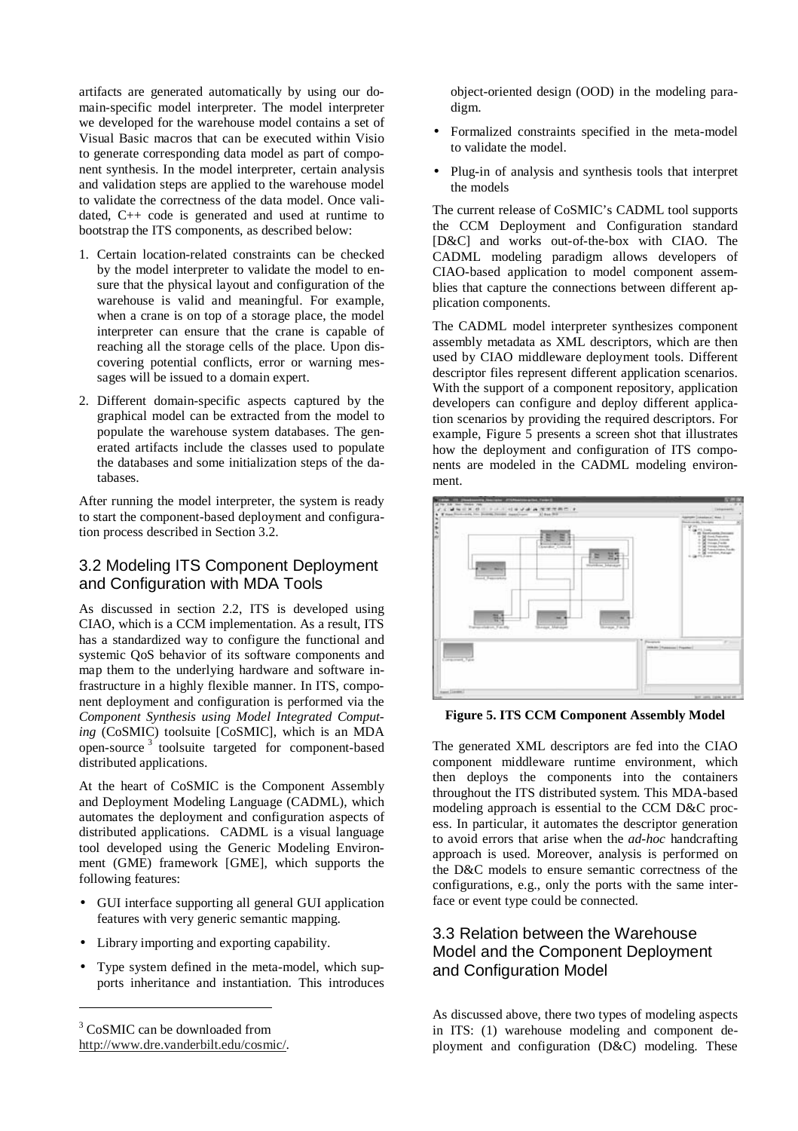artifacts are generated automatically by using our domain-specific model interpreter. The model interpreter we developed for the warehouse model contains a set of Visual Basic macros that can be executed within Visio to generate corresponding data model as part of component synthesis. In the model interpreter, certain analysis and validation steps are applied to the warehouse model to validate the correctness of the data model. Once validated, C++ code is generated and used at runtime to bootstrap the ITS components, as described below:

- 1. Certain location-related constraints can be checked by the model interpreter to validate the model to ensure that the physical layout and configuration of the warehouse is valid and meaningful. For example, when a crane is on top of a storage place, the model interpreter can ensure that the crane is capable of reaching all the storage cells of the place. Upon discovering potential conflicts, error or warning messages will be issued to a domain expert.
- 2. Different domain-specific aspects captured by the graphical model can be extracted from the model to populate the warehouse system databases. The generated artifacts include the classes used to populate the databases and some initialization steps of the databases.

After running the model interpreter, the system is ready to start the component-based deployment and configuration process described in Section 3.2.

#### 3.2 Modeling ITS Component Deployment and Configuration with MDA Tools

As discussed in section 2.2, ITS is developed using CIAO, which is a CCM implementation. As a result, ITS has a standardized way to configure the functional and systemic QoS behavior of its software components and map them to the underlying hardware and software infrastructure in a highly flexible manner. In ITS, component deployment and configuration is performed via the *Component Synthesis using Model Integrated Computing* (CoSMIC) toolsuite [CoSMIC], which is an MDA open-source 3 toolsuite targeted for component-based distributed applications.

At the heart of CoSMIC is the Component Assembly and Deployment Modeling Language (CADML), which automates the deployment and configuration aspects of distributed applications. CADML is a visual language tool developed using the Generic Modeling Environment (GME) framework [GME], which supports the following features:

- GUI interface supporting all general GUI application features with very generic semantic mapping.
- Library importing and exporting capability.
- Type system defined in the meta-model, which supports inheritance and instantiation. This introduces

3 CoSMIC can be downloaded from http://www.dre.vanderbilt.edu/cosmic/.

 $\overline{a}$ 

object-oriented design (OOD) in the modeling paradigm.

- Formalized constraints specified in the meta-model to validate the model.
- Plug-in of analysis and synthesis tools that interpret the models

The current release of CoSMIC's CADML tool supports the CCM Deployment and Configuration standard [D&C] and works out-of-the-box with CIAO. The CADML modeling paradigm allows developers of CIAO-based application to model component assemblies that capture the connections between different application components.

The CADML model interpreter synthesizes component assembly metadata as XML descriptors, which are then used by CIAO middleware deployment tools. Different descriptor files represent different application scenarios. With the support of a component repository, application developers can configure and deploy different application scenarios by providing the required descriptors. For example, Figure 5 presents a screen shot that illustrates how the deployment and configuration of ITS components are modeled in the CADML modeling environment.



**Figure 5. ITS CCM Component Assembly Model** 

The generated XML descriptors are fed into the CIAO component middleware runtime environment, which then deploys the components into the containers throughout the ITS distributed system. This MDA-based modeling approach is essential to the CCM D&C process. In particular, it automates the descriptor generation to avoid errors that arise when the *ad-hoc* handcrafting approach is used. Moreover, analysis is performed on the D&C models to ensure semantic correctness of the configurations, e.g., only the ports with the same interface or event type could be connected.

# 3.3 Relation between the Warehouse Model and the Component Deployment and Configuration Model

As discussed above, there two types of modeling aspects in ITS: (1) warehouse modeling and component deployment and configuration (D&C) modeling. These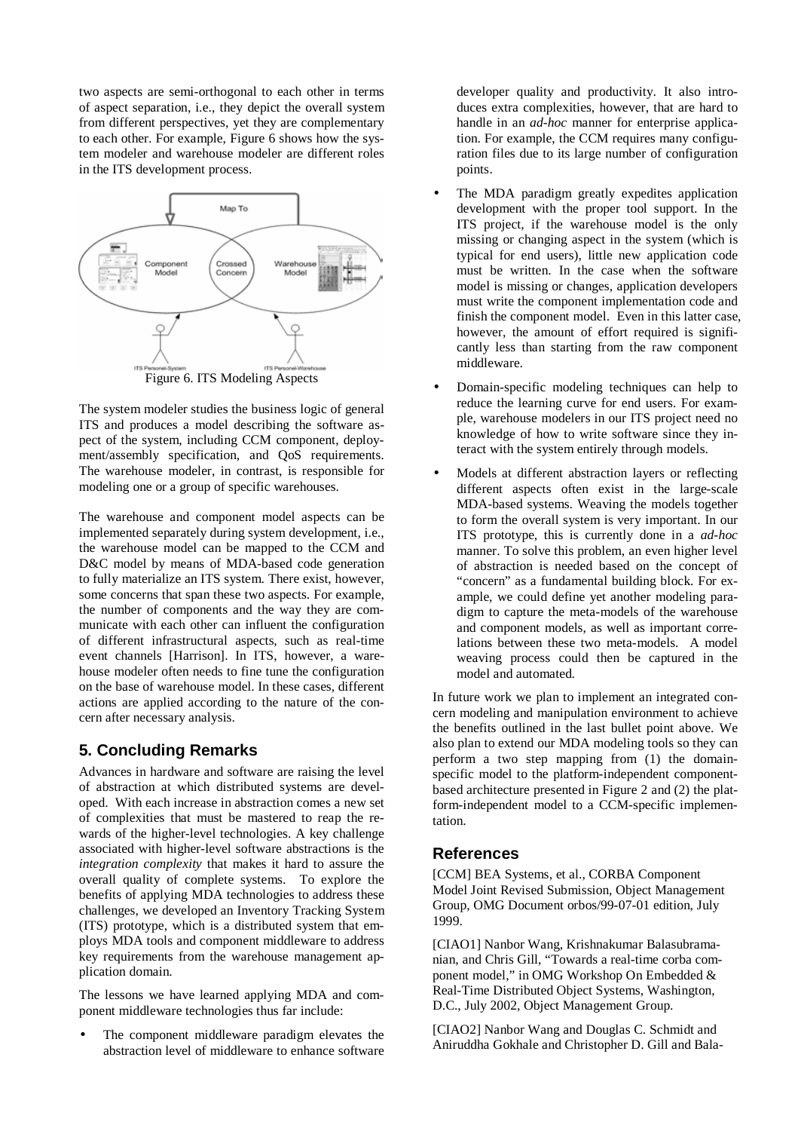two aspects are semi-orthogonal to each other in terms of aspect separation, i.e., they depict the overall system from different perspectives, yet they are complementary to each other. For example, Figure 6 shows how the system modeler and warehouse modeler are different roles in the ITS development process.



The system modeler studies the business logic of general ITS and produces a model describing the software aspect of the system, including CCM component, deployment/assembly specification, and QoS requirements. The warehouse modeler, in contrast, is responsible for modeling one or a group of specific warehouses.

The warehouse and component model aspects can be implemented separately during system development, i.e., the warehouse model can be mapped to the CCM and D&C model by means of MDA-based code generation to fully materialize an ITS system. There exist, however, some concerns that span these two aspects. For example, the number of components and the way they are communicate with each other can influent the configuration of different infrastructural aspects, such as real-time event channels [Harrison]. In ITS, however, a warehouse modeler often needs to fine tune the configuration on the base of warehouse model. In these cases, different actions are applied according to the nature of the concern after necessary analysis.

### **5. Concluding Remarks**

Advances in hardware and software are raising the level of abstraction at which distributed systems are developed. With each increase in abstraction comes a new set of complexities that must be mastered to reap the rewards of the higher-level technologies. A key challenge associated with higher-level software abstractions is the *integration complexity* that makes it hard to assure the overall quality of complete systems. To explore the benefits of applying MDA technologies to address these challenges, we developed an Inventory Tracking System (ITS) prototype, which is a distributed system that employs MDA tools and component middleware to address key requirements from the warehouse management application domain.

The lessons we have learned applying MDA and component middleware technologies thus far include:

The component middleware paradigm elevates the abstraction level of middleware to enhance software

developer quality and productivity. It also introduces extra complexities, however, that are hard to handle in an *ad-hoc* manner for enterprise application. For example, the CCM requires many configuration files due to its large number of configuration points.

- The MDA paradigm greatly expedites application development with the proper tool support. In the ITS project, if the warehouse model is the only missing or changing aspect in the system (which is typical for end users), little new application code must be written. In the case when the software model is missing or changes, application developers must write the component implementation code and finish the component model. Even in this latter case, however, the amount of effort required is significantly less than starting from the raw component middleware.
- Domain-specific modeling techniques can help to reduce the learning curve for end users. For example, warehouse modelers in our ITS project need no knowledge of how to write software since they interact with the system entirely through models.
- Models at different abstraction layers or reflecting different aspects often exist in the large-scale MDA-based systems. Weaving the models together to form the overall system is very important. In our ITS prototype, this is currently done in a *ad-hoc* manner. To solve this problem, an even higher level of abstraction is needed based on the concept of "concern" as a fundamental building block. For example, we could define yet another modeling paradigm to capture the meta-models of the warehouse and component models, as well as important correlations between these two meta-models. A model weaving process could then be captured in the model and automated.

In future work we plan to implement an integrated concern modeling and manipulation environment to achieve the benefits outlined in the last bullet point above. We also plan to extend our MDA modeling tools so they can perform a two step mapping from (1) the domainspecific model to the platform-independent componentbased architecture presented in Figure 2 and (2) the platform-independent model to a CCM-specific implementation.

## **References**

[CCM] BEA Systems, et al., CORBA Component Model Joint Revised Submission, Object Management Group, OMG Document orbos/99-07-01 edition, July 1999.

[CIAO1] Nanbor Wang, Krishnakumar Balasubramanian, and Chris Gill, "Towards a real-time corba component model," in OMG Workshop On Embedded & Real-Time Distributed Object Systems, Washington, D.C., July 2002, Object Management Group.

[CIAO2] Nanbor Wang and Douglas C. Schmidt and Aniruddha Gokhale and Christopher D. Gill and Bala